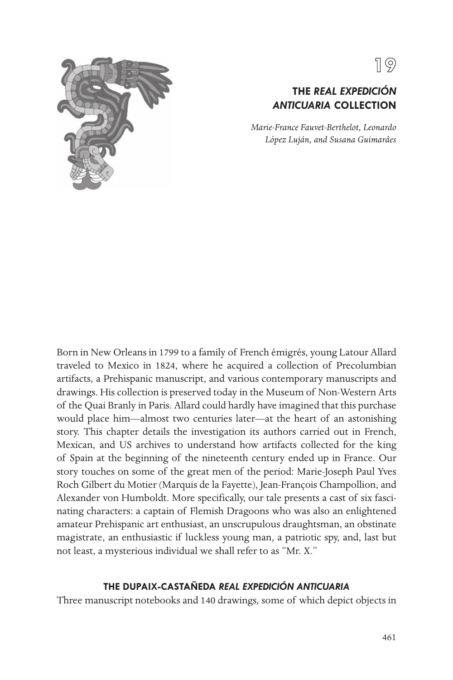



# **The** *Real Expedición Anticuaria* **Collection**

*Marie-France Fauvet-Berthelot, Leonardo López Luján, and Susana Guimarâes*

Born in New Orleans in 1799 to a family of French émigrés, young Latour Allard traveled to Mexico in 1824, where he acquired a collection of Precolumbian artifacts, a Prehispanic manuscript, and various contemporary manuscripts and drawings. His collection is preserved today in the Museum of Non-Western Arts of the Quai Branly in Paris. Allard could hardly have imagined that this purchase would place him—almost two centuries later—at the heart of an astonishing story. This chapter details the investigation its authors carried out in French, Mexican, and US archives to understand how artifacts collected for the king of Spain at the beginning of the nineteenth century ended up in France. Our story touches on some of the great men of the period: Marie-Joseph Paul Yves Roch Gilbert du Motier (Marquis de la Fayette), Jean-François Champollion, and Alexander von Humboldt. More specifically, our tale presents a cast of six fascinating characters: a captain of Flemish Dragoons who was also an enlightened amateur Prehispanic art enthusiast, an unscrupulous draughtsman, an obstinate magistrate, an enthusiastic if luckless young man, a patriotic spy, and, last but not least, a mysterious individual we shall refer to as "Mr. X."

# **The Dupaix-Castañeda** *Real Expedición Anticuaria*

Three manuscript notebooks and 140 drawings, some of which depict objects in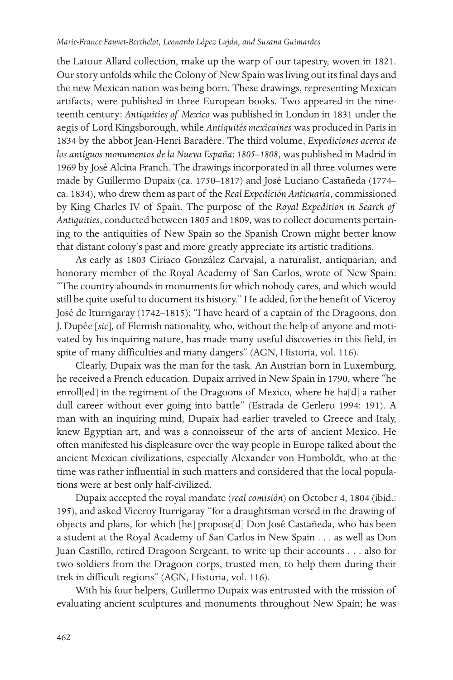the Latour Allard collection, make up the warp of our tapestry, woven in 1821. Our story unfolds while the Colony of New Spain was living out its final days and the new Mexican nation was being born. These drawings, representing Mexican artifacts, were published in three European books. Two appeared in the nineteenth century: *Antiquities of Mexico* was published in London in 1831 under the aegis of Lord Kingsborough, while *Antiquités mexicaines* was produced in Paris in 1834 by the abbot Jean-Henri Baradère. The third volume, *Expediciones acerca de los antiguos monumentos de la Nueva España: 1805–1808*, was published in Madrid in 1969 by José Alcina Franch. The drawings incorporated in all three volumes were made by Guillermo Dupaix (ca. 1750–1817) and José Luciano Castañeda (1774– ca. 1834), who drew them as part of the *Real Expedición Anticuaria*, commissioned by King Charles IV of Spain. The purpose of the *Royal Expedition in Search of Antiquities*, conducted between 1805 and 1809, was to collect documents pertaining to the antiquities of New Spain so the Spanish Crown might better know that distant colony's past and more greatly appreciate its artistic traditions.

As early as 1803 Ciriaco González Carvajal, a naturalist, antiquarian, and honorary member of the Royal Academy of San Carlos, wrote of New Spain: "The country abounds in monuments for which nobody cares, and which would still be quite useful to document its history." He added, for the benefit of Viceroy José de Iturrigaray (1742–1815): "I have heard of a captain of the Dragoons, don J. Dupée [*sic*], of Flemish nationality, who, without the help of anyone and motivated by his inquiring nature, has made many useful discoveries in this field, in spite of many difficulties and many dangers" (AGN, Historia, vol. 116).

Clearly, Dupaix was the man for the task. An Austrian born in Luxemburg, he received a French education. Dupaix arrived in New Spain in 1790, where "he enroll[ed] in the regiment of the Dragoons of Mexico, where he ha[d] a rather dull career without ever going into battle" (Estrada de Gerlero 1994: 191). A man with an inquiring mind, Dupaix had earlier traveled to Greece and Italy, knew Egyptian art, and was a connoisseur of the arts of ancient Mexico. He often manifested his displeasure over the way people in Europe talked about the ancient Mexican civilizations, especially Alexander von Humboldt, who at the time was rather influential in such matters and considered that the local populations were at best only half-civilized.

Dupaix accepted the royal mandate (*real comisión*) on October 4, 1804 (ibid.: 195), and asked Viceroy Iturrigaray "for a draughtsman versed in the drawing of objects and plans, for which [he] propose[d] Don José Castañeda, who has been a student at the Royal Academy of San Carlos in New Spain . . . as well as Don Juan Castillo, retired Dragoon Sergeant, to write up their accounts . . . also for two soldiers from the Dragoon corps, trusted men, to help them during their trek in difficult regions" (AGN, Historia, vol. 116).

With his four helpers, Guillermo Dupaix was entrusted with the mission of evaluating ancient sculptures and monuments throughout New Spain; he was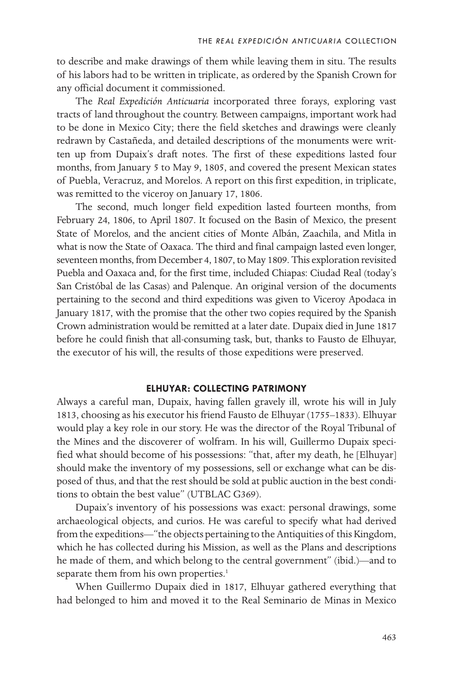to describe and make drawings of them while leaving them in situ. The results of his labors had to be written in triplicate, as ordered by the Spanish Crown for any official document it commissioned.

The *Real Expedición Anticuaria* incorporated three forays, exploring vast tracts of land throughout the country. Between campaigns, important work had to be done in Mexico City; there the field sketches and drawings were cleanly redrawn by Castañeda, and detailed descriptions of the monuments were written up from Dupaix's draft notes. The first of these expeditions lasted four months, from January 5 to May 9, 1805, and covered the present Mexican states of Puebla, Veracruz, and Morelos. A report on this first expedition, in triplicate, was remitted to the viceroy on January 17, 1806.

The second, much longer field expedition lasted fourteen months, from February 24, 1806, to April 1807. It focused on the Basin of Mexico, the present State of Morelos, and the ancient cities of Monte Albán, Zaachila, and Mitla in what is now the State of Oaxaca. The third and final campaign lasted even longer, seventeen months, from December 4, 1807, to May 1809. This exploration revisited Puebla and Oaxaca and, for the first time, included Chiapas: Ciudad Real (today's San Cristóbal de las Casas) and Palenque. An original version of the documents pertaining to the second and third expeditions was given to Viceroy Apodaca in January 1817, with the promise that the other two copies required by the Spanish Crown administration would be remitted at a later date. Dupaix died in June 1817 before he could finish that all-consuming task, but, thanks to Fausto de Elhuyar, the executor of his will, the results of those expeditions were preserved.

# **Elhuyar: Collecting Patrimony**

Always a careful man, Dupaix, having fallen gravely ill, wrote his will in July 1813, choosing as his executor his friend Fausto de Elhuyar (1755–1833). Elhuyar would play a key role in our story. He was the director of the Royal Tribunal of the Mines and the discoverer of wolfram. In his will, Guillermo Dupaix specified what should become of his possessions: "that, after my death, he [Elhuyar] should make the inventory of my possessions, sell or exchange what can be disposed of thus, and that the rest should be sold at public auction in the best conditions to obtain the best value" (UTBLAC G369).

Dupaix's inventory of his possessions was exact: personal drawings, some archaeological objects, and curios. He was careful to specify what had derived from the expeditions—"the objects pertaining to the Antiquities of this Kingdom, which he has collected during his Mission, as well as the Plans and descriptions he made of them, and which belong to the central government" (ibid.)—and to separate them from his own properties.<sup>1</sup>

When Guillermo Dupaix died in 1817, Elhuyar gathered everything that had belonged to him and moved it to the Real Seminario de Minas in Mexico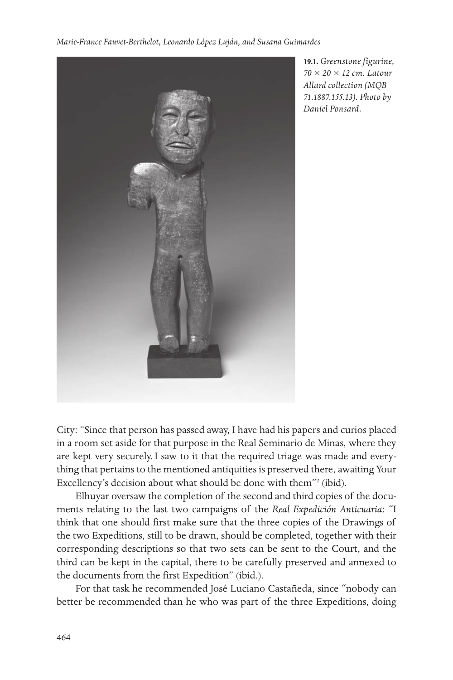*Marie-France Fauvet-Berthelot, Leonardo López Luján, and Susana Guimarâes*



**19.1.** *Greenstone figurine, 70 × 20 × 12 cm. Latour Allard collection (MQB 71.1887.155.13). Photo by Daniel Ponsard.*

City: "Since that person has passed away, I have had his papers and curios placed in a room set aside for that purpose in the Real Seminario de Minas, where they are kept very securely. I saw to it that the required triage was made and everything that pertains to the mentioned antiquities is preserved there, awaiting Your Excellency's decision about what should be done with them"<sup>2</sup> (ibid).

Elhuyar oversaw the completion of the second and third copies of the documents relating to the last two campaigns of the *Real Expedición Anticuaria*: "I think that one should first make sure that the three copies of the Drawings of the two Expeditions, still to be drawn, should be completed, together with their corresponding descriptions so that two sets can be sent to the Court, and the third can be kept in the capital, there to be carefully preserved and annexed to the documents from the first Expedition" (ibid.).

For that task he recommended José Luciano Castañeda, since "nobody can better be recommended than he who was part of the three Expeditions, doing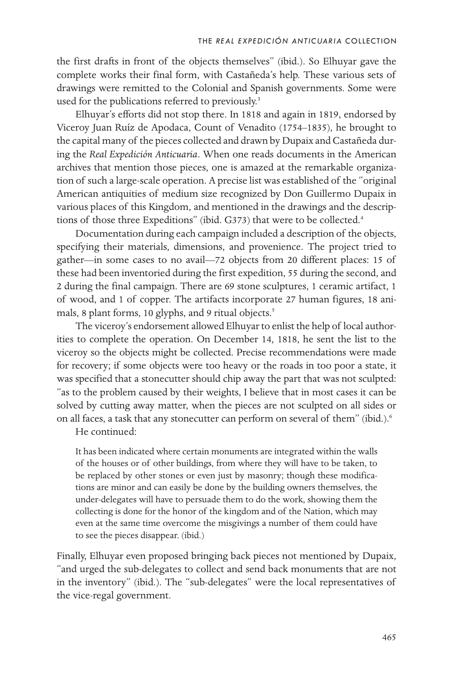the first drafts in front of the objects themselves" (ibid.). So Elhuyar gave the complete works their final form, with Castañeda's help. These various sets of drawings were remitted to the Colonial and Spanish governments. Some were used for the publications referred to previously.<sup>3</sup>

Elhuyar's efforts did not stop there. In 1818 and again in 1819, endorsed by Viceroy Juan Ruíz de Apodaca, Count of Venadito (1754–1835), he brought to the capital many of the pieces collected and drawn by Dupaix and Castañeda during the *Real Expedición Anticuaria*. When one reads documents in the American archives that mention those pieces, one is amazed at the remarkable organization of such a large-scale operation. A precise list was established of the "original American antiquities of medium size recognized by Don Guillermo Dupaix in various places of this Kingdom, and mentioned in the drawings and the descriptions of those three Expeditions" (ibid. G373) that were to be collected.<sup>4</sup>

Documentation during each campaign included a description of the objects, specifying their materials, dimensions, and provenience. The project tried to gather—in some cases to no avail—72 objects from 20 different places: 15 of these had been inventoried during the first expedition, 55 during the second, and 2 during the final campaign. There are 69 stone sculptures, 1 ceramic artifact, 1 of wood, and 1 of copper. The artifacts incorporate 27 human figures, 18 animals, 8 plant forms, 10 glyphs, and 9 ritual objects.<sup>5</sup>

The viceroy's endorsement allowed Elhuyar to enlist the help of local authorities to complete the operation. On December 14, 1818, he sent the list to the viceroy so the objects might be collected. Precise recommendations were made for recovery; if some objects were too heavy or the roads in too poor a state, it was specified that a stonecutter should chip away the part that was not sculpted: "as to the problem caused by their weights, I believe that in most cases it can be solved by cutting away matter, when the pieces are not sculpted on all sides or on all faces, a task that any stonecutter can perform on several of them" (ibid.).<sup>6</sup>

He continued:

It has been indicated where certain monuments are integrated within the walls of the houses or of other buildings, from where they will have to be taken, to be replaced by other stones or even just by masonry; though these modifications are minor and can easily be done by the building owners themselves, the under-delegates will have to persuade them to do the work, showing them the collecting is done for the honor of the kingdom and of the Nation, which may even at the same time overcome the misgivings a number of them could have to see the pieces disappear. (ibid.)

Finally, Elhuyar even proposed bringing back pieces not mentioned by Dupaix, "and urged the sub-delegates to collect and send back monuments that are not in the inventory" (ibid.). The "sub-delegates" were the local representatives of the vice-regal government.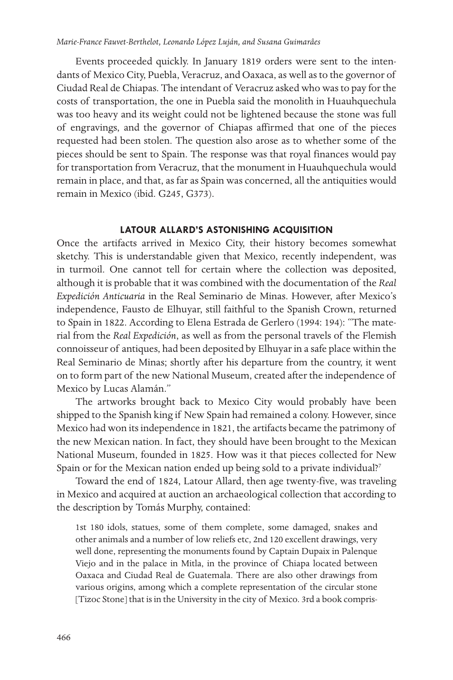Events proceeded quickly. In January 1819 orders were sent to the intendants of Mexico City, Puebla, Veracruz, and Oaxaca, as well as to the governor of Ciudad Real de Chiapas. The intendant of Veracruz asked who was to pay for the costs of transportation, the one in Puebla said the monolith in Huauhquechula was too heavy and its weight could not be lightened because the stone was full of engravings, and the governor of Chiapas affirmed that one of the pieces requested had been stolen. The question also arose as to whether some of the pieces should be sent to Spain. The response was that royal finances would pay for transportation from Veracruz, that the monument in Huauhquechula would remain in place, and that, as far as Spain was concerned, all the antiquities would remain in Mexico (ibid. G245, G373).

# **Latour Allard's Astonishing Acquisition**

Once the artifacts arrived in Mexico City, their history becomes somewhat sketchy. This is understandable given that Mexico, recently independent, was in turmoil. One cannot tell for certain where the collection was deposited, although it is probable that it was combined with the documentation of the *Real Expedición Anticuaria* in the Real Seminario de Minas. However, after Mexico's independence, Fausto de Elhuyar, still faithful to the Spanish Crown, returned to Spain in 1822. According to Elena Estrada de Gerlero (1994: 194): "The material from the *Real Expedición*, as well as from the personal travels of the Flemish connoisseur of antiques, had been deposited by Elhuyar in a safe place within the Real Seminario de Minas; shortly after his departure from the country, it went on to form part of the new National Museum, created after the independence of Mexico by Lucas Alamán."

The artworks brought back to Mexico City would probably have been shipped to the Spanish king if New Spain had remained a colony. However, since Mexico had won its independence in 1821, the artifacts became the patrimony of the new Mexican nation. In fact, they should have been brought to the Mexican National Museum, founded in 1825. How was it that pieces collected for New Spain or for the Mexican nation ended up being sold to a private individual?<sup>7</sup>

Toward the end of 1824, Latour Allard, then age twenty-five, was traveling in Mexico and acquired at auction an archaeological collection that according to the description by Tomás Murphy, contained:

1st 180 idols, statues, some of them complete, some damaged, snakes and other animals and a number of low reliefs etc, 2nd 120 excellent drawings, very well done, representing the monuments found by Captain Dupaix in Palenque Viejo and in the palace in Mitla, in the province of Chiapa located between Oaxaca and Ciudad Real de Guatemala. There are also other drawings from various origins, among which a complete representation of the circular stone [Tizoc Stone] that is in the University in the city of Mexico. 3rd a book compris-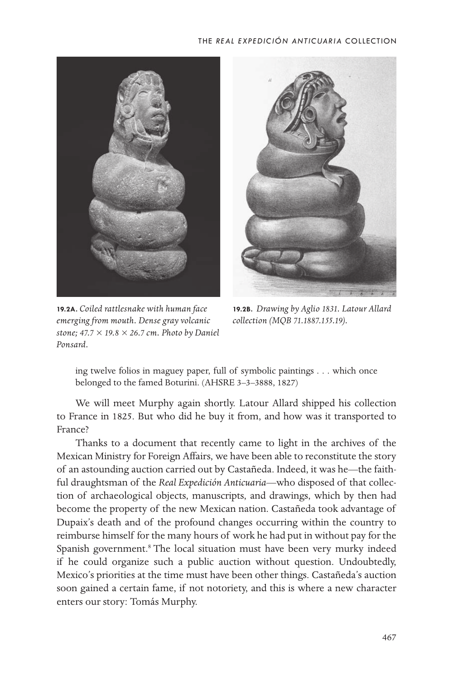#### The *Real Expedición Anticuaria* Collection



**19.2a.** *Coiled rattlesnake with human face emerging from mouth. Dense gray volcanic stone; 47.7 × 19.8 × 26.7 cm. Photo by Daniel Ponsard.* 



**19.2b.** *Drawing by Aglio 1831. Latour Allard collection (MQB 71.1887.155.19).*

ing twelve folios in maguey paper, full of symbolic paintings . . . which once belonged to the famed Boturini. (AHSRE 3–3–3888, 1827)

We will meet Murphy again shortly. Latour Allard shipped his collection to France in 1825. But who did he buy it from, and how was it transported to France?

Thanks to a document that recently came to light in the archives of the Mexican Ministry for Foreign Affairs, we have been able to reconstitute the story of an astounding auction carried out by Castañeda. Indeed, it was he—the faithful draughtsman of the *Real Expedición Anticuaria*—who disposed of that collection of archaeological objects, manuscripts, and drawings, which by then had become the property of the new Mexican nation. Castañeda took advantage of Dupaix's death and of the profound changes occurring within the country to reimburse himself for the many hours of work he had put in without pay for the Spanish government.<sup>8</sup> The local situation must have been very murky indeed if he could organize such a public auction without question. Undoubtedly, Mexico's priorities at the time must have been other things. Castañeda's auction soon gained a certain fame, if not notoriety, and this is where a new character enters our story: Tomás Murphy.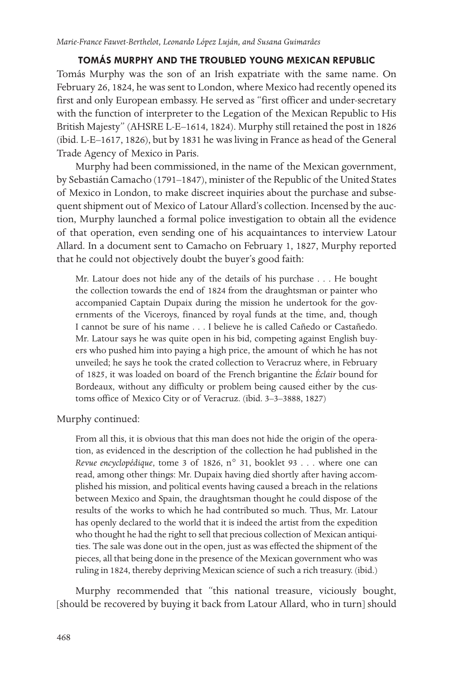# **Tomás Murphy and the Troubled Young Mexican Republic**

Tomás Murphy was the son of an Irish expatriate with the same name. On February 26, 1824, he was sent to London, where Mexico had recently opened its first and only European embassy. He served as "first officer and under-secretary with the function of interpreter to the Legation of the Mexican Republic to His British Majesty" (AHSRE L-E–1614, 1824). Murphy still retained the post in 1826 (ibid. L-E–1617, 1826), but by 1831 he was living in France as head of the General Trade Agency of Mexico in Paris.

Murphy had been commissioned, in the name of the Mexican government, by Sebastián Camacho (1791–1847), minister of the Republic of the United States of Mexico in London, to make discreet inquiries about the purchase and subsequent shipment out of Mexico of Latour Allard's collection. Incensed by the auction, Murphy launched a formal police investigation to obtain all the evidence of that operation, even sending one of his acquaintances to interview Latour Allard. In a document sent to Camacho on February 1, 1827, Murphy reported that he could not objectively doubt the buyer's good faith:

Mr. Latour does not hide any of the details of his purchase . . . He bought the collection towards the end of 1824 from the draughtsman or painter who accompanied Captain Dupaix during the mission he undertook for the governments of the Viceroys, financed by royal funds at the time, and, though I cannot be sure of his name . . . I believe he is called Cañedo or Castañedo. Mr. Latour says he was quite open in his bid, competing against English buyers who pushed him into paying a high price, the amount of which he has not unveiled; he says he took the crated collection to Veracruz where, in February of 1825, it was loaded on board of the French brigantine the *Éclair* bound for Bordeaux, without any difficulty or problem being caused either by the customs office of Mexico City or of Veracruz. (ibid. 3–3–3888, 1827)

Murphy continued:

From all this, it is obvious that this man does not hide the origin of the operation, as evidenced in the description of the collection he had published in the *Revue encyclopédique*, tome 3 of 1826, n° 31, booklet 93 . . . where one can read, among other things: Mr. Dupaix having died shortly after having accomplished his mission, and political events having caused a breach in the relations between Mexico and Spain, the draughtsman thought he could dispose of the results of the works to which he had contributed so much. Thus, Mr. Latour has openly declared to the world that it is indeed the artist from the expedition who thought he had the right to sell that precious collection of Mexican antiquities. The sale was done out in the open, just as was effected the shipment of the pieces, all that being done in the presence of the Mexican government who was ruling in 1824, thereby depriving Mexican science of such a rich treasury. (ibid.)

Murphy recommended that "this national treasure, viciously bought, [should be recovered by buying it back from Latour Allard, who in turn] should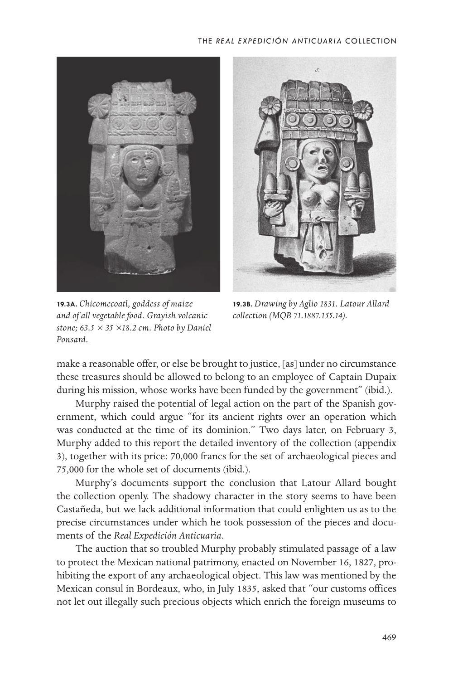#### The *Real Expedición Anticuaria* Collection



**19.3a.** *Chicomecoatl, goddess of maize and of all vegetable food. Grayish volcanic stone; 63.5 × 35 ×18.2 cm. Photo by Daniel Ponsard.* 



**19.3b.** *Drawing by Aglio 1831. Latour Allard collection (MQB 71.1887.155.14).*

make a reasonable offer, or else be brought to justice, [as] under no circumstance these treasures should be allowed to belong to an employee of Captain Dupaix during his mission, whose works have been funded by the government" (ibid.).

Murphy raised the potential of legal action on the part of the Spanish government, which could argue "for its ancient rights over an operation which was conducted at the time of its dominion." Two days later, on February 3, Murphy added to this report the detailed inventory of the collection (appendix 3), together with its price: 70,000 francs for the set of archaeological pieces and 75,000 for the whole set of documents (ibid.).

Murphy's documents support the conclusion that Latour Allard bought the collection openly. The shadowy character in the story seems to have been Castañeda, but we lack additional information that could enlighten us as to the precise circumstances under which he took possession of the pieces and documents of the *Real Expedición Anticuaria*.

The auction that so troubled Murphy probably stimulated passage of a law to protect the Mexican national patrimony, enacted on November 16, 1827, prohibiting the export of any archaeological object. This law was mentioned by the Mexican consul in Bordeaux, who, in July 1835, asked that "our customs offices not let out illegally such precious objects which enrich the foreign museums to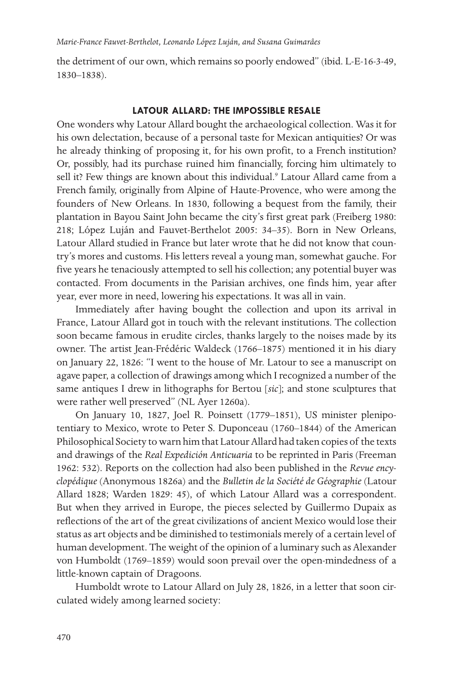the detriment of our own, which remains so poorly endowed" (ibid. L-E-16-3-49, 1830–1838).

# **Latour Allard: The Impossible Resale**

One wonders why Latour Allard bought the archaeological collection. Was it for his own delectation, because of a personal taste for Mexican antiquities? Or was he already thinking of proposing it, for his own profit, to a French institution? Or, possibly, had its purchase ruined him financially, forcing him ultimately to sell it? Few things are known about this individual.<sup>9</sup> Latour Allard came from a French family, originally from Alpine of Haute-Provence, who were among the founders of New Orleans. In 1830, following a bequest from the family, their plantation in Bayou Saint John became the city's first great park (Freiberg 1980: 218; López Luján and Fauvet-Berthelot 2005: 34–35). Born in New Orleans, Latour Allard studied in France but later wrote that he did not know that country's mores and customs. His letters reveal a young man, somewhat gauche. For five years he tenaciously attempted to sell his collection; any potential buyer was contacted. From documents in the Parisian archives, one finds him, year after year, ever more in need, lowering his expectations. It was all in vain.

Immediately after having bought the collection and upon its arrival in France, Latour Allard got in touch with the relevant institutions. The collection soon became famous in erudite circles, thanks largely to the noises made by its owner. The artist Jean-Frédéric Waldeck (1766–1875) mentioned it in his diary on January 22, 1826: "I went to the house of Mr. Latour to see a manuscript on agave paper, a collection of drawings among which I recognized a number of the same antiques I drew in lithographs for Bertou [*sic*]; and stone sculptures that were rather well preserved" (NL Ayer 1260a).

On January 10, 1827, Joel R. Poinsett (1779–1851), US minister plenipotentiary to Mexico, wrote to Peter S. Duponceau (1760–1844) of the American Philosophical Society to warn him that Latour Allard had taken copies of the texts and drawings of the *Real Expedición Anticuaria* to be reprinted in Paris (Freeman 1962: 532). Reports on the collection had also been published in the *Revue encyclopédique* (Anonymous 1826a) and the *Bulletin de la Société de Géographie* (Latour Allard 1828; Warden 1829: 45), of which Latour Allard was a correspondent. But when they arrived in Europe, the pieces selected by Guillermo Dupaix as reflections of the art of the great civilizations of ancient Mexico would lose their status as art objects and be diminished to testimonials merely of a certain level of human development. The weight of the opinion of a luminary such as Alexander von Humboldt (1769–1859) would soon prevail over the open-mindedness of a little-known captain of Dragoons.

Humboldt wrote to Latour Allard on July 28, 1826, in a letter that soon circulated widely among learned society: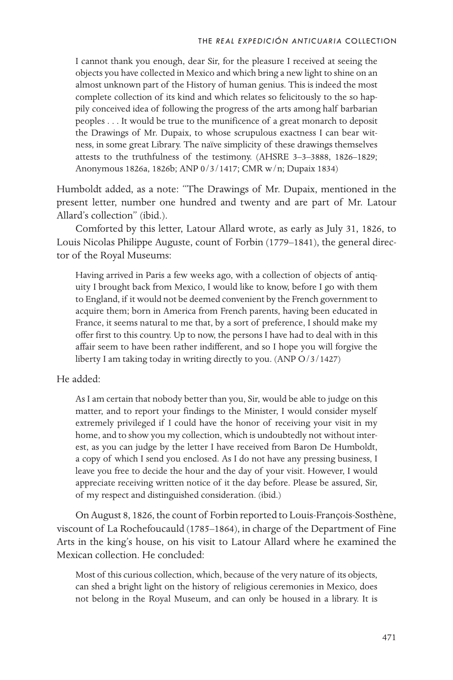I cannot thank you enough, dear Sir, for the pleasure I received at seeing the objects you have collected in Mexico and which bring a new light to shine on an almost unknown part of the History of human genius. This is indeed the most complete collection of its kind and which relates so felicitously to the so happily conceived idea of following the progress of the arts among half barbarian peoples . . . It would be true to the munificence of a great monarch to deposit the Drawings of Mr. Dupaix, to whose scrupulous exactness I can bear witness, in some great Library. The naïve simplicity of these drawings themselves attests to the truthfulness of the testimony. (AHSRE 3–3–3888, 1826–1829; Anonymous 1826a, 1826b; ANP 0/3/1417; CMR w/n; Dupaix 1834)

Humboldt added, as a note: "The Drawings of Mr. Dupaix, mentioned in the present letter, number one hundred and twenty and are part of Mr. Latour Allard's collection" (ibid.).

Comforted by this letter, Latour Allard wrote, as early as July 31, 1826, to Louis Nicolas Philippe Auguste, count of Forbin (1779–1841), the general director of the Royal Museums:

Having arrived in Paris a few weeks ago, with a collection of objects of antiquity I brought back from Mexico, I would like to know, before I go with them to England, if it would not be deemed convenient by the French government to acquire them; born in America from French parents, having been educated in France, it seems natural to me that, by a sort of preference, I should make my offer first to this country. Up to now, the persons I have had to deal with in this affair seem to have been rather indifferent, and so I hope you will forgive the liberty I am taking today in writing directly to you. (ANP O/3/1427)

# He added:

As I am certain that nobody better than you, Sir, would be able to judge on this matter, and to report your findings to the Minister, I would consider myself extremely privileged if I could have the honor of receiving your visit in my home, and to show you my collection, which is undoubtedly not without interest, as you can judge by the letter I have received from Baron De Humboldt, a copy of which I send you enclosed. As I do not have any pressing business, I leave you free to decide the hour and the day of your visit. However, I would appreciate receiving written notice of it the day before. Please be assured, Sir, of my respect and distinguished consideration. (ibid.)

On August 8, 1826, the count of Forbin reported to Louis-François-Sosthène, viscount of La Rochefoucauld (1785–1864), in charge of the Department of Fine Arts in the king's house, on his visit to Latour Allard where he examined the Mexican collection. He concluded:

Most of this curious collection, which, because of the very nature of its objects, can shed a bright light on the history of religious ceremonies in Mexico, does not belong in the Royal Museum, and can only be housed in a library. It is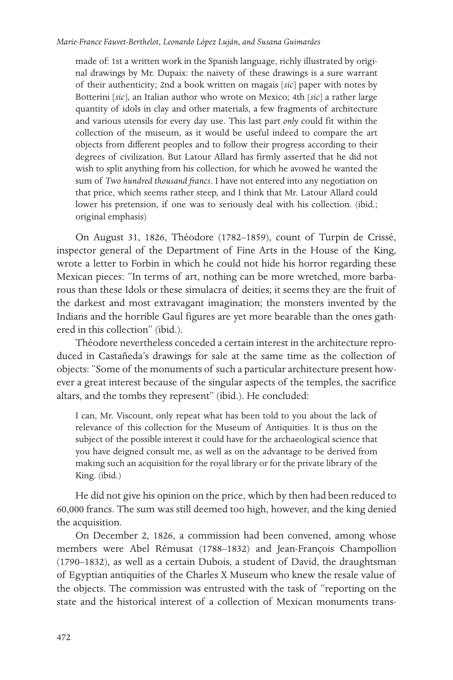made of: 1st a written work in the Spanish language, richly illustrated by original drawings by Mr. Dupaix: the naivety of these drawings is a sure warrant of their authenticity; 2nd a book written on magais [*sic*] paper with notes by Botterini [*sic*], an Italian author who wrote on Mexico; 4th [*sic*] a rather large quantity of idols in clay and other materials, a few fragments of architecture and various utensils for every day use. This last part *only* could fit within the collection of the museum, as it would be useful indeed to compare the art objects from different peoples and to follow their progress according to their degrees of civilization. But Latour Allard has firmly asserted that he did not wish to split anything from his collection, for which he avowed he wanted the sum of *Two hundred thousand francs*. I have not entered into any negotiation on that price, which seems rather steep, and I think that Mr. Latour Allard could lower his pretension, if one was to seriously deal with his collection. (ibid.; original emphasis)

On August 31, 1826, Théodore (1782–1859), count of Turpin de Crissé, inspector general of the Department of Fine Arts in the House of the King, wrote a letter to Forbin in which he could not hide his horror regarding these Mexican pieces: "In terms of art, nothing can be more wretched, more barbarous than these Idols or these simulacra of deities; it seems they are the fruit of the darkest and most extravagant imagination; the monsters invented by the Indians and the horrible Gaul figures are yet more bearable than the ones gathered in this collection" (ibid.).

Théodore nevertheless conceded a certain interest in the architecture reproduced in Castañeda's drawings for sale at the same time as the collection of objects: "Some of the monuments of such a particular architecture present however a great interest because of the singular aspects of the temples, the sacrifice altars, and the tombs they represent" (ibid.). He concluded:

I can, Mr. Viscount, only repeat what has been told to you about the lack of relevance of this collection for the Museum of Antiquities. It is thus on the subject of the possible interest it could have for the archaeological science that you have deigned consult me, as well as on the advantage to be derived from making such an acquisition for the royal library or for the private library of the King. (ibid.)

He did not give his opinion on the price, which by then had been reduced to 60,000 francs. The sum was still deemed too high, however, and the king denied the acquisition.

On December 2, 1826, a commission had been convened, among whose members were Abel Rémusat (1788–1832) and Jean-François Champollion (1790–1832), as well as a certain Dubois, a student of David, the draughtsman of Egyptian antiquities of the Charles X Museum who knew the resale value of the objects. The commission was entrusted with the task of "reporting on the state and the historical interest of a collection of Mexican monuments trans-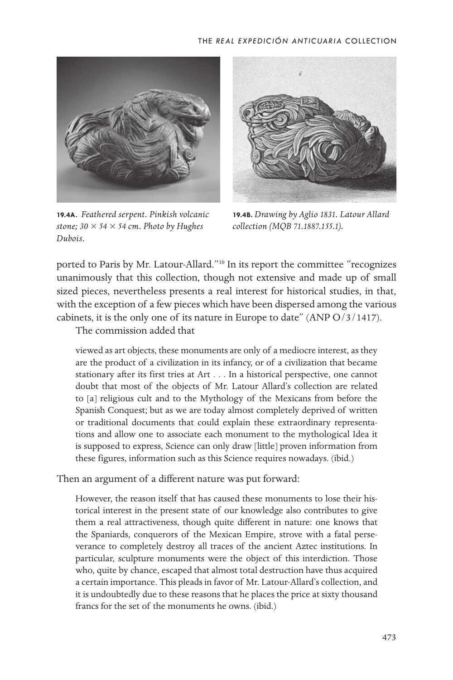

**19.4a.** *Feathered serpent. Pinkish volcanic stone; 30 × 54 × 54 cm. Photo by Hughes Dubois.* 



**19.4b.** *Drawing by Aglio 1831. Latour Allard collection (MQB 71.1887.155.1).*

ported to Paris by Mr. Latour-Allard."<sup>10</sup> In its report the committee "recognizes unanimously that this collection, though not extensive and made up of small sized pieces, nevertheless presents a real interest for historical studies, in that, with the exception of a few pieces which have been dispersed among the various cabinets, it is the only one of its nature in Europe to date" (ANP  $O/3/1417$ ).

The commission added that

viewed as art objects, these monuments are only of a mediocre interest, as they are the product of a civilization in its infancy, or of a civilization that became stationary after its first tries at Art . . . In a historical perspective, one cannot doubt that most of the objects of Mr. Latour Allard's collection are related to [a] religious cult and to the Mythology of the Mexicans from before the Spanish Conquest; but as we are today almost completely deprived of written or traditional documents that could explain these extraordinary representations and allow one to associate each monument to the mythological Idea it is supposed to express, Science can only draw [little] proven information from these figures, information such as this Science requires nowadays. (ibid.)

Then an argument of a different nature was put forward:

However, the reason itself that has caused these monuments to lose their historical interest in the present state of our knowledge also contributes to give them a real attractiveness, though quite different in nature: one knows that the Spaniards, conquerors of the Mexican Empire, strove with a fatal perseverance to completely destroy all traces of the ancient Aztec institutions. In particular, sculpture monuments were the object of this interdiction. Those who, quite by chance, escaped that almost total destruction have thus acquired a certain importance. This pleads in favor of Mr. Latour-Allard's collection, and it is undoubtedly due to these reasons that he places the price at sixty thousand francs for the set of the monuments he owns. (ibid.)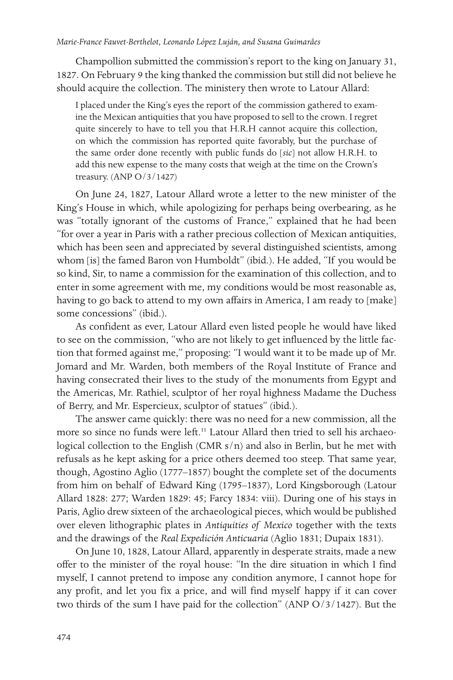Champollion submitted the commission's report to the king on January 31, 1827. On February 9 the king thanked the commission but still did not believe he should acquire the collection. The ministery then wrote to Latour Allard:

I placed under the King's eyes the report of the commission gathered to examine the Mexican antiquities that you have proposed to sell to the crown. I regret quite sincerely to have to tell you that H.R.H cannot acquire this collection, on which the commission has reported quite favorably, but the purchase of the same order done recently with public funds do [*sic*] not allow H.R.H. to add this new expense to the many costs that weigh at the time on the Crown's treasury. (ANP O/3/1427)

On June 24, 1827, Latour Allard wrote a letter to the new minister of the King's House in which, while apologizing for perhaps being overbearing, as he was "totally ignorant of the customs of France," explained that he had been "for over a year in Paris with a rather precious collection of Mexican antiquities, which has been seen and appreciated by several distinguished scientists, among whom [is] the famed Baron von Humboldt" (ibid.). He added, "If you would be so kind, Sir, to name a commission for the examination of this collection, and to enter in some agreement with me, my conditions would be most reasonable as, having to go back to attend to my own affairs in America, I am ready to [make] some concessions" (ibid.).

As confident as ever, Latour Allard even listed people he would have liked to see on the commission, "who are not likely to get influenced by the little faction that formed against me," proposing: "I would want it to be made up of Mr. Jomard and Mr. Warden, both members of the Royal Institute of France and having consecrated their lives to the study of the monuments from Egypt and the Americas, Mr. Rathiel, sculptor of her royal highness Madame the Duchess of Berry, and Mr. Espercieux, sculptor of statues" (ibid.).

The answer came quickly: there was no need for a new commission, all the more so since no funds were left.<sup>11</sup> Latour Allard then tried to sell his archaeological collection to the English (CMR  $s/n$ ) and also in Berlin, but he met with refusals as he kept asking for a price others deemed too steep. That same year, though, Agostino Aglio (1777–1857) bought the complete set of the documents from him on behalf of Edward King (1795–1837), Lord Kingsborough (Latour Allard 1828: 277; Warden 1829: 45; Farcy 1834: viii). During one of his stays in Paris, Aglio drew sixteen of the archaeological pieces, which would be published over eleven lithographic plates in *Antiquities of Mexico* together with the texts and the drawings of the *Real Expedición Anticuaria* (Aglio 1831; Dupaix 1831).

On June 10, 1828, Latour Allard, apparently in desperate straits, made a new offer to the minister of the royal house: "In the dire situation in which I find myself, I cannot pretend to impose any condition anymore, I cannot hope for any profit, and let you fix a price, and will find myself happy if it can cover two thirds of the sum I have paid for the collection" (ANP O/3/1427). But the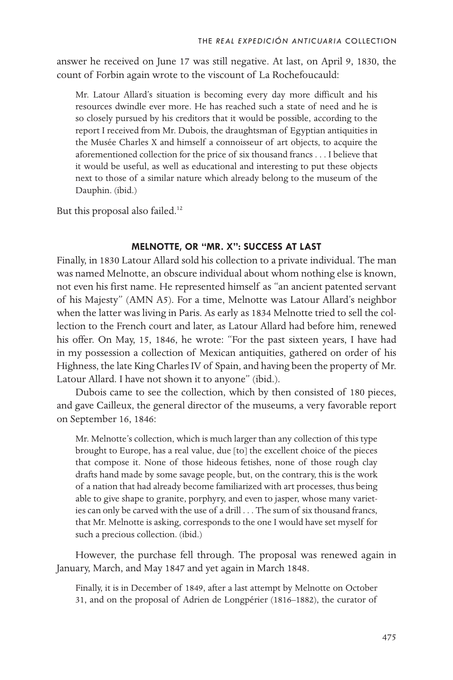answer he received on June 17 was still negative. At last, on April 9, 1830, the count of Forbin again wrote to the viscount of La Rochefoucauld:

Mr. Latour Allard's situation is becoming every day more difficult and his resources dwindle ever more. He has reached such a state of need and he is so closely pursued by his creditors that it would be possible, according to the report I received from Mr. Dubois, the draughtsman of Egyptian antiquities in the Musée Charles X and himself a connoisseur of art objects, to acquire the aforementioned collection for the price of six thousand francs . . . I believe that it would be useful, as well as educational and interesting to put these objects next to those of a similar nature which already belong to the museum of the Dauphin. (ibid.)

But this proposal also failed.<sup>12</sup>

# **Melnotte, or "Mr. X": Success at Last**

Finally, in 1830 Latour Allard sold his collection to a private individual. The man was named Melnotte, an obscure individual about whom nothing else is known, not even his first name. He represented himself as "an ancient patented servant of his Majesty" (AMN A5). For a time, Melnotte was Latour Allard's neighbor when the latter was living in Paris. As early as 1834 Melnotte tried to sell the collection to the French court and later, as Latour Allard had before him, renewed his offer. On May, 15, 1846, he wrote: "For the past sixteen years, I have had in my possession a collection of Mexican antiquities, gathered on order of his Highness, the late King Charles IV of Spain, and having been the property of Mr. Latour Allard. I have not shown it to anyone" (ibid.).

Dubois came to see the collection, which by then consisted of 180 pieces, and gave Cailleux, the general director of the museums, a very favorable report on September 16, 1846:

Mr. Melnotte's collection, which is much larger than any collection of this type brought to Europe, has a real value, due [to] the excellent choice of the pieces that compose it. None of those hideous fetishes, none of those rough clay drafts hand made by some savage people, but, on the contrary, this is the work of a nation that had already become familiarized with art processes, thus being able to give shape to granite, porphyry, and even to jasper, whose many varieties can only be carved with the use of a drill . . . The sum of six thousand francs, that Mr. Melnotte is asking, corresponds to the one I would have set myself for such a precious collection. (ibid.)

However, the purchase fell through. The proposal was renewed again in January, March, and May 1847 and yet again in March 1848.

Finally, it is in December of 1849, after a last attempt by Melnotte on October 31, and on the proposal of Adrien de Longpérier (1816–1882), the curator of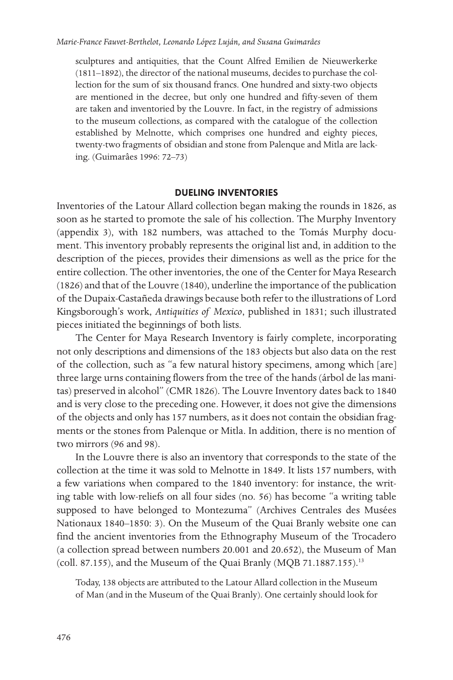sculptures and antiquities, that the Count Alfred Emilien de Nieuwerkerke (1811–1892), the director of the national museums, decides to purchase the collection for the sum of six thousand francs. One hundred and sixty-two objects are mentioned in the decree, but only one hundred and fifty-seven of them are taken and inventoried by the Louvre. In fact, in the registry of admissions to the museum collections, as compared with the catalogue of the collection established by Melnotte, which comprises one hundred and eighty pieces, twenty-two fragments of obsidian and stone from Palenque and Mitla are lacking. (Guimarâes 1996: 72–73)

# **Dueling Inventories**

Inventories of the Latour Allard collection began making the rounds in 1826, as soon as he started to promote the sale of his collection. The Murphy Inventory (appendix 3), with 182 numbers, was attached to the Tomás Murphy document. This inventory probably represents the original list and, in addition to the description of the pieces, provides their dimensions as well as the price for the entire collection. The other inventories, the one of the Center for Maya Research (1826) and that of the Louvre (1840), underline the importance of the publication of the Dupaix-Castañeda drawings because both refer to the illustrations of Lord Kingsborough's work, *Antiquities of Mexico*, published in 1831; such illustrated pieces initiated the beginnings of both lists.

The Center for Maya Research Inventory is fairly complete, incorporating not only descriptions and dimensions of the 183 objects but also data on the rest of the collection, such as "a few natural history specimens, among which [are] three large urns containing flowers from the tree of the hands (árbol de las manitas) preserved in alcohol" (CMR 1826). The Louvre Inventory dates back to 1840 and is very close to the preceding one. However, it does not give the dimensions of the objects and only has 157 numbers, as it does not contain the obsidian fragments or the stones from Palenque or Mitla. In addition, there is no mention of two mirrors (96 and 98).

In the Louvre there is also an inventory that corresponds to the state of the collection at the time it was sold to Melnotte in 1849. It lists 157 numbers, with a few variations when compared to the 1840 inventory: for instance, the writing table with low-reliefs on all four sides (no. 56) has become "a writing table supposed to have belonged to Montezuma" (Archives Centrales des Musées Nationaux 1840–1850: 3). On the Museum of the Quai Branly website one can find the ancient inventories from the Ethnography Museum of the Trocadero (a collection spread between numbers 20.001 and 20.652), the Museum of Man (coll. 87.155), and the Museum of the Quai Branly (MQB 71.1887.155).<sup>13</sup>

Today, 138 objects are attributed to the Latour Allard collection in the Museum of Man (and in the Museum of the Quai Branly). One certainly should look for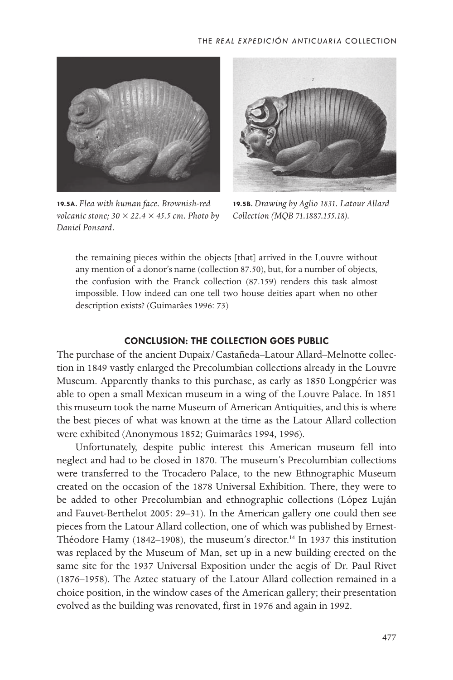#### The *Real Expedición Anticuaria* Collection



**19.5a.** *Flea with human face. Brownish-red volcanic stone; 30 × 22.4 × 45.5 cm. Photo by Daniel Ponsard.* 



**19.5b.** *Drawing by Aglio 1831. Latour Allard Collection (MQB 71.1887.155.18).* 

the remaining pieces within the objects [that] arrived in the Louvre without any mention of a donor's name (collection 87.50), but, for a number of objects, the confusion with the Franck collection (87.159) renders this task almost impossible. How indeed can one tell two house deities apart when no other description exists? (Guimarâes 1996: 73)

# **Conclusion: The Collection Goes Public**

The purchase of the ancient Dupaix/Castañeda–Latour Allard–Melnotte collection in 1849 vastly enlarged the Precolumbian collections already in the Louvre Museum. Apparently thanks to this purchase, as early as 1850 Longpérier was able to open a small Mexican museum in a wing of the Louvre Palace. In 1851 this museum took the name Museum of American Antiquities, and this is where the best pieces of what was known at the time as the Latour Allard collection were exhibited (Anonymous 1852; Guimarâes 1994, 1996).

Unfortunately, despite public interest this American museum fell into neglect and had to be closed in 1870. The museum's Precolumbian collections were transferred to the Trocadero Palace, to the new Ethnographic Museum created on the occasion of the 1878 Universal Exhibition. There, they were to be added to other Precolumbian and ethnographic collections (López Luján and Fauvet-Berthelot 2005: 29–31). In the American gallery one could then see pieces from the Latour Allard collection, one of which was published by Ernest-Théodore Hamy (1842–1908), the museum's director.<sup>14</sup> In 1937 this institution was replaced by the Museum of Man, set up in a new building erected on the same site for the 1937 Universal Exposition under the aegis of Dr. Paul Rivet (1876–1958). The Aztec statuary of the Latour Allard collection remained in a choice position, in the window cases of the American gallery; their presentation evolved as the building was renovated, first in 1976 and again in 1992.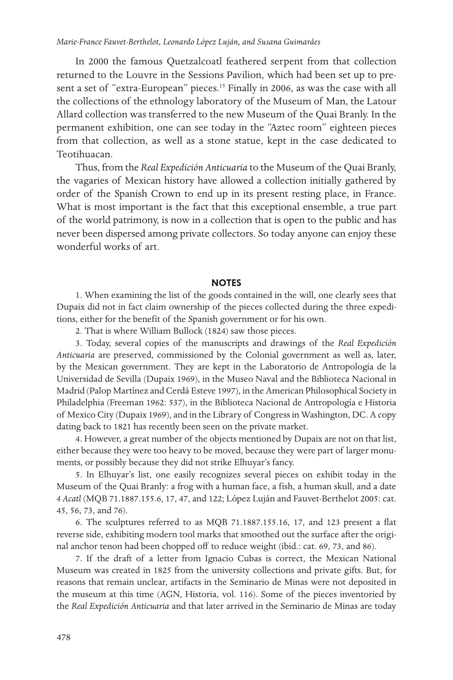In 2000 the famous Quetzalcoatl feathered serpent from that collection returned to the Louvre in the Sessions Pavilion, which had been set up to present a set of "extra-European" pieces.<sup>15</sup> Finally in 2006, as was the case with all the collections of the ethnology laboratory of the Museum of Man, the Latour Allard collection was transferred to the new Museum of the Quai Branly. In the permanent exhibition, one can see today in the "Aztec room" eighteen pieces from that collection, as well as a stone statue, kept in the case dedicated to Teotihuacan.

Thus, from the *Real Expedición Anticuaria* to the Museum of the Quai Branly, the vagaries of Mexican history have allowed a collection initially gathered by order of the Spanish Crown to end up in its present resting place, in France. What is most important is the fact that this exceptional ensemble, a true part of the world patrimony, is now in a collection that is open to the public and has never been dispersed among private collectors. So today anyone can enjoy these wonderful works of art.

### **Notes**

1. When examining the list of the goods contained in the will, one clearly sees that Dupaix did not in fact claim ownership of the pieces collected during the three expeditions, either for the benefit of the Spanish government or for his own.

2. That is where William Bullock (1824) saw those pieces.

3. Today, several copies of the manuscripts and drawings of the *Real Expedición Anticuaria* are preserved, commissioned by the Colonial government as well as, later, by the Mexican government. They are kept in the Laboratorio de Antropología de la Universidad de Sevilla (Dupaix 1969), in the Museo Naval and the Biblioteca Nacional in Madrid (Palop Martínez and Cerdá Esteve 1997), in the American Philosophical Society in Philadelphia (Freeman 1962: 537), in the Biblioteca Nacional de Antropología e Historia of Mexico City (Dupaix 1969), and in the Library of Congress in Washington, DC. A copy dating back to 1821 has recently been seen on the private market.

4. However, a great number of the objects mentioned by Dupaix are not on that list, either because they were too heavy to be moved, because they were part of larger monuments, or possibly because they did not strike Elhuyar's fancy.

5. In Elhuyar's list, one easily recognizes several pieces on exhibit today in the Museum of the Quai Branly: a frog with a human face, a fish, a human skull, and a date *4 Acatl* (MQB 71.1887.155.6, 17, 47, and 122; López Luján and Fauvet-Berthelot 2005: cat. 45, 56, 73, and 76).

6. The sculptures referred to as MQB 71.1887.155.16, 17, and 123 present a flat reverse side, exhibiting modern tool marks that smoothed out the surface after the original anchor tenon had been chopped off to reduce weight (ibid.: cat. 69, 73, and 86).

7. If the draft of a letter from Ignacio Cubas is correct, the Mexican National Museum was created in 1825 from the university collections and private gifts. But, for reasons that remain unclear, artifacts in the Seminario de Minas were not deposited in the museum at this time (AGN, Historia, vol. 116). Some of the pieces inventoried by the *Real Expedición Anticuaria* and that later arrived in the Seminario de Minas are today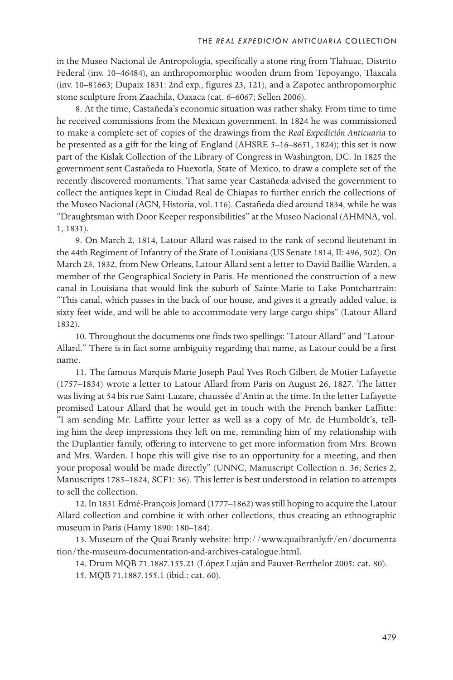in the Museo Nacional de Antropología, specifically a stone ring from Tlahuac, Distrito Federal (inv. 10–46484), an anthropomorphic wooden drum from Tepoyango, Tlaxcala (inv. 10–81663; Dupaix 1831: 2nd exp., figures 23, 121), and a Zapotec anthropomorphic stone sculpture from Zaachila, Oaxaca (cat. 6–6067; Sellen 2006).

8. At the time, Castañeda's economic situation was rather shaky. From time to time he received commissions from the Mexican government. In 1824 he was commissioned to make a complete set of copies of the drawings from the *Real Expedición Anticuaria* to be presented as a gift for the king of England (AHSRE 5–16–8651, 1824); this set is now part of the Kislak Collection of the Library of Congress in Washington, DC. In 1825 the government sent Castañeda to Huexotla, State of Mexico, to draw a complete set of the recently discovered monuments. That same year Castañeda advised the government to collect the antiques kept in Ciudad Real de Chiapas to further enrich the collections of the Museo Nacional (AGN, Historia, vol. 116). Castañeda died around 1834, while he was "Draughtsman with Door Keeper responsibilities" at the Museo Nacional (AHMNA, vol. 1, 1831).

9. On March 2, 1814, Latour Allard was raised to the rank of second lieutenant in the 44th Regiment of Infantry of the State of Louisiana (US Senate 1814, II: 496, 502). On March 23, 1832, from New Orleans, Latour Allard sent a letter to David Baillie Warden, a member of the Geographical Society in Paris. He mentioned the construction of a new canal in Louisiana that would link the suburb of Sainte-Marie to Lake Pontchartrain: "This canal, which passes in the back of our house, and gives it a greatly added value, is sixty feet wide, and will be able to accommodate very large cargo ships" (Latour Allard 1832).

10. Throughout the documents one finds two spellings: "Latour Allard" and "Latour-Allard." There is in fact some ambiguity regarding that name, as Latour could be a first name.

11. The famous Marquis Marie Joseph Paul Yves Roch Gilbert de Motier Lafayette (1757–1834) wrote a letter to Latour Allard from Paris on August 26, 1827. The latter was living at 54 bis rue Saint-Lazare, chaussée d'Antin at the time. In the letter Lafayette promised Latour Allard that he would get in touch with the French banker Laffitte: "I am sending Mr. Laffitte your letter as well as a copy of Mr. de Humboldt's, telling him the deep impressions they left on me, reminding him of my relationship with the Duplantier family, offering to intervene to get more information from Mrs. Brown and Mrs. Warden. I hope this will give rise to an opportunity for a meeting, and then your proposal would be made directly" (UNNC, Manuscript Collection n. 36; Series 2, Manuscripts 1785–1824, SCF1: 36). This letter is best understood in relation to attempts to sell the collection.

12. In 1831 Edmé-François Jomard (1777–1862) was still hoping to acquire the Latour Allard collection and combine it with other collections, thus creating an ethnographic museum in Paris (Hamy 1890: 180–184).

13. Museum of the Quai Branly website: http://www.quaibranly.fr/en/documenta tion/the-museum-documentation-and-archives-catalogue.html.

14. Drum MQB 71.1887.155.21 (López Luján and Fauvet-Berthelot 2005: cat. 80).

15. MQB 71.1887.155.1 (ibid.: cat. 60).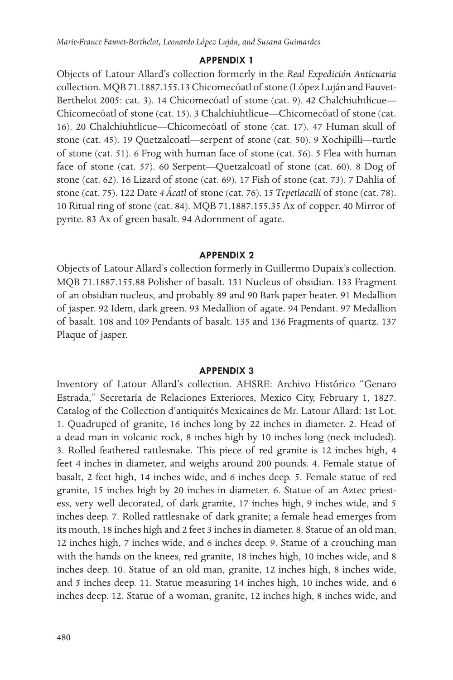# **Appendix 1**

Objects of Latour Allard's collection formerly in the *Real Expedición Anticuaria* collection. MQB 71.1887.155.13 Chicomecóatl of stone (López Luján and Fauvet-Berthelot 2005: cat. 3). 14 Chicomecóatl of stone (cat. 9). 42 Chalchiuhtlicue— Chicomecóatl of stone (cat. 15). 3 Chalchiuhtlicue—Chicomecóatl of stone (cat. 16). 20 Chalchiuhtlicue—Chicomecóatl of stone (cat. 17). 47 Human skull of stone (cat. 45). 19 Quetzalcoatl—serpent of stone (cat. 50). 9 Xochipilli—turtle of stone (cat. 51). 6 Frog with human face of stone (cat. 56). 5 Flea with human face of stone (cat. 57). 60 Serpent—Quetzalcoatl of stone (cat. 60). 8 Dog of stone (cat. 62). 16 Lizard of stone (cat. 69). 17 Fish of stone (cat. 73). 7 Dahlia of stone (cat. 75). 122 Date *4 Ácatl* of stone (cat. 76). 15 *Tepetlacalli* of stone (cat. 78). 10 Ritual ring of stone (cat. 84). MQB 71.1887.155.35 Ax of copper. 40 Mirror of pyrite. 83 Ax of green basalt. 94 Adornment of agate.

# **Appendix 2**

Objects of Latour Allard's collection formerly in Guillermo Dupaix's collection. MQB 71.1887.155.88 Polisher of basalt. 131 Nucleus of obsidian. 133 Fragment of an obsidian nucleus, and probably 89 and 90 Bark paper beater. 91 Medallion of jasper. 92 Idem, dark green. 93 Medallion of agate. 94 Pendant. 97 Medallion of basalt. 108 and 109 Pendants of basalt. 135 and 136 Fragments of quartz. 137 Plaque of jasper.

# **Appendix 3**

Inventory of Latour Allard's collection. AHSRE: Archivo Histórico "Genaro Estrada," Secretaría de Relaciones Exteriores, Mexico City, February 1, 1827. Catalog of the Collection d'antiquités Mexicaines de Mr. Latour Allard: 1st Lot. 1. Quadruped of granite, 16 inches long by 22 inches in diameter. 2. Head of a dead man in volcanic rock, 8 inches high by 10 inches long (neck included). 3. Rolled feathered rattlesnake. This piece of red granite is 12 inches high, 4 feet 4 inches in diameter, and weighs around 200 pounds. 4. Female statue of basalt, 2 feet high, 14 inches wide, and 6 inches deep. 5. Female statue of red granite, 15 inches high by 20 inches in diameter. 6. Statue of an Aztec priestess, very well decorated, of dark granite, 17 inches high, 9 inches wide, and 5 inches deep. 7. Rolled rattlesnake of dark granite; a female head emerges from its mouth, 18 inches high and 2 feet 3 inches in diameter. 8. Statue of an old man, 12 inches high, 7 inches wide, and 6 inches deep. 9. Statue of a crouching man with the hands on the knees, red granite, 18 inches high, 10 inches wide, and 8 inches deep. 10. Statue of an old man, granite, 12 inches high, 8 inches wide, and 5 inches deep. 11. Statue measuring 14 inches high, 10 inches wide, and 6 inches deep. 12. Statue of a woman, granite, 12 inches high, 8 inches wide, and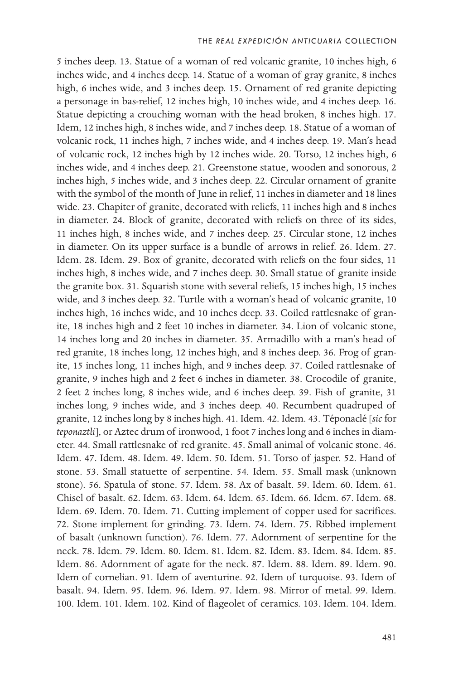5 inches deep. 13. Statue of a woman of red volcanic granite, 10 inches high, 6 inches wide, and 4 inches deep. 14. Statue of a woman of gray granite, 8 inches high, 6 inches wide, and 3 inches deep. 15. Ornament of red granite depicting a personage in bas-relief, 12 inches high, 10 inches wide, and 4 inches deep. 16. Statue depicting a crouching woman with the head broken, 8 inches high. 17. Idem, 12 inches high, 8 inches wide, and 7 inches deep. 18. Statue of a woman of volcanic rock, 11 inches high, 7 inches wide, and 4 inches deep. 19. Man's head of volcanic rock, 12 inches high by 12 inches wide. 20. Torso, 12 inches high, 6 inches wide, and 4 inches deep. 21. Greenstone statue, wooden and sonorous, 2 inches high, 5 inches wide, and 3 inches deep. 22. Circular ornament of granite with the symbol of the month of June in relief, 11 inches in diameter and 18 lines wide. 23. Chapiter of granite, decorated with reliefs, 11 inches high and 8 inches in diameter. 24. Block of granite, decorated with reliefs on three of its sides, 11 inches high, 8 inches wide, and 7 inches deep. 25. Circular stone, 12 inches in diameter. On its upper surface is a bundle of arrows in relief. 26. Idem. 27. Idem. 28. Idem. 29. Box of granite, decorated with reliefs on the four sides, 11 inches high, 8 inches wide, and 7 inches deep. 30. Small statue of granite inside the granite box. 31. Squarish stone with several reliefs, 15 inches high, 15 inches wide, and 3 inches deep. 32. Turtle with a woman's head of volcanic granite, 10 inches high, 16 inches wide, and 10 inches deep. 33. Coiled rattlesnake of granite, 18 inches high and 2 feet 10 inches in diameter. 34. Lion of volcanic stone, 14 inches long and 20 inches in diameter. 35. Armadillo with a man's head of red granite, 18 inches long, 12 inches high, and 8 inches deep. 36. Frog of granite, 15 inches long, 11 inches high, and 9 inches deep. 37. Coiled rattlesnake of granite, 9 inches high and 2 feet 6 inches in diameter. 38. Crocodile of granite, 2 feet 2 inches long, 8 inches wide, and 6 inches deep. 39. Fish of granite, 31 inches long, 9 inches wide, and 3 inches deep. 40. Recumbent quadruped of granite, 12 inches long by 8 inches high. 41. Idem. 42. Idem. 43. Téponaclé [*sic* for *teponaztli*], or Aztec drum of ironwood, 1 foot 7 inches long and 6 inches in diameter. 44. Small rattlesnake of red granite. 45. Small animal of volcanic stone. 46. Idem. 47. Idem. 48. Idem. 49. Idem. 50. Idem. 51. Torso of jasper. 52. Hand of stone. 53. Small statuette of serpentine. 54. Idem. 55. Small mask (unknown stone). 56. Spatula of stone. 57. Idem. 58. Ax of basalt. 59. Idem. 60. Idem. 61. Chisel of basalt. 62. Idem. 63. Idem. 64. Idem. 65. Idem. 66. Idem. 67. Idem. 68. Idem. 69. Idem. 70. Idem. 71. Cutting implement of copper used for sacrifices. 72. Stone implement for grinding. 73. Idem. 74. Idem. 75. Ribbed implement of basalt (unknown function). 76. Idem. 77. Adornment of serpentine for the neck. 78. Idem. 79. Idem. 80. Idem. 81. Idem. 82. Idem. 83. Idem. 84. Idem. 85. Idem. 86. Adornment of agate for the neck. 87. Idem. 88. Idem. 89. Idem. 90. Idem of cornelian. 91. Idem of aventurine. 92. Idem of turquoise. 93. Idem of basalt. 94. Idem. 95. Idem. 96. Idem. 97. Idem. 98. Mirror of metal. 99. Idem. 100. Idem. 101. Idem. 102. Kind of flageolet of ceramics. 103. Idem. 104. Idem.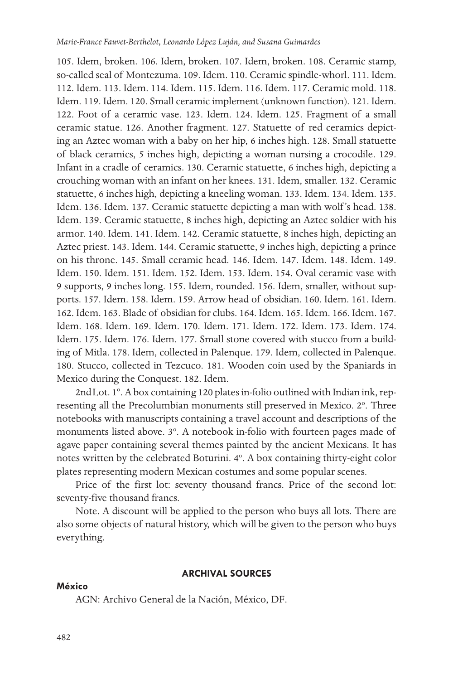105. Idem, broken. 106. Idem, broken. 107. Idem, broken. 108. Ceramic stamp, so-called seal of Montezuma. 109. Idem. 110. Ceramic spindle-whorl. 111. Idem. 112. Idem. 113. Idem. 114. Idem. 115. Idem. 116. Idem. 117. Ceramic mold. 118. Idem. 119. Idem. 120. Small ceramic implement (unknown function). 121. Idem. 122. Foot of a ceramic vase. 123. Idem. 124. Idem. 125. Fragment of a small ceramic statue. 126. Another fragment. 127. Statuette of red ceramics depicting an Aztec woman with a baby on her hip, 6 inches high. 128. Small statuette of black ceramics, 5 inches high, depicting a woman nursing a crocodile. 129. Infant in a cradle of ceramics. 130. Ceramic statuette, 6 inches high, depicting a crouching woman with an infant on her knees. 131. Idem, smaller. 132. Ceramic statuette, 6 inches high, depicting a kneeling woman. 133. Idem. 134. Idem. 135. Idem. 136. Idem. 137. Ceramic statuette depicting a man with wolf 's head. 138. Idem. 139. Ceramic statuette, 8 inches high, depicting an Aztec soldier with his armor. 140. Idem. 141. Idem. 142. Ceramic statuette, 8 inches high, depicting an Aztec priest. 143. Idem. 144. Ceramic statuette, 9 inches high, depicting a prince on his throne. 145. Small ceramic head. 146. Idem. 147. Idem. 148. Idem. 149. Idem. 150. Idem. 151. Idem. 152. Idem. 153. Idem. 154. Oval ceramic vase with 9 supports, 9 inches long. 155. Idem, rounded. 156. Idem, smaller, without supports. 157. Idem. 158. Idem. 159. Arrow head of obsidian. 160. Idem. 161. Idem. 162. Idem. 163. Blade of obsidian for clubs. 164. Idem. 165. Idem. 166. Idem. 167. Idem. 168. Idem. 169. Idem. 170. Idem. 171. Idem. 172. Idem. 173. Idem. 174. Idem. 175. Idem. 176. Idem. 177. Small stone covered with stucco from a building of Mitla. 178. Idem, collected in Palenque. 179. Idem, collected in Palenque. 180. Stucco, collected in Tezcuco. 181. Wooden coin used by the Spaniards in Mexico during the Conquest. 182. Idem.

2nd Lot. 1°. A box containing 120 plates in-folio outlined with Indian ink, representing all the Precolumbian monuments still preserved in Mexico. 2°. Three notebooks with manuscripts containing a travel account and descriptions of the monuments listed above. 3°. A notebook in-folio with fourteen pages made of agave paper containing several themes painted by the ancient Mexicans. It has notes written by the celebrated Boturini. 4°. A box containing thirty-eight color plates representing modern Mexican costumes and some popular scenes.

Price of the first lot: seventy thousand francs. Price of the second lot: seventy-five thousand francs.

Note. A discount will be applied to the person who buys all lots. There are also some objects of natural history, which will be given to the person who buys everything.

### **Archival Sources**

### **México**

AGN: Archivo General de la Nación, México, DF.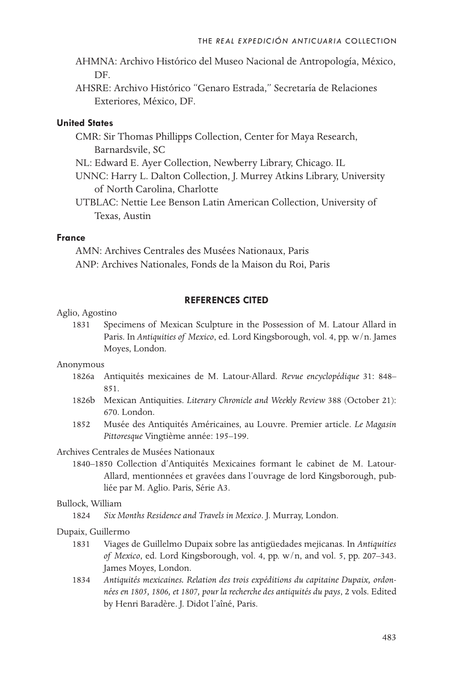- AHMNA: Archivo Histórico del Museo Nacional de Antropología, México, DF.
- AHSRE: Archivo Histórico "Genaro Estrada," Secretaría de Relaciones Exteriores, México, DF.

# **United States**

- CMR: Sir Thomas Phillipps Collection, Center for Maya Research, Barnardsvile, SC
- NL: Edward E. Ayer Collection, Newberry Library, Chicago. IL
- UNNC: Harry L. Dalton Collection, J. Murrey Atkins Library, University of North Carolina, Charlotte
- UTBLAC: Nettie Lee Benson Latin American Collection, University of Texas, Austin

# **France**

AMN: Archives Centrales des Musées Nationaux, Paris ANP: Archives Nationales, Fonds de la Maison du Roi, Paris

# **References Cited**

#### Aglio, Agostino

1831 Specimens of Mexican Sculpture in the Possession of M. Latour Allard in Paris. In *Antiquities of Mexico*, ed. Lord Kingsborough, vol. 4, pp. w/n. James Moyes, London.

#### Anonymous

- 1826a Antiquités mexicaines de M. Latour-Allard. *Revue encyclopédique* 31: 848– 851.
- 1826b Mexican Antiquities. *Literary Chronicle and Weekly Review* 388 (October 21): 670. London.
- 1852 Musée des Antiquités Américaines, au Louvre. Premier article. *Le Magasin Pittoresque* Vingtième année: 195–199.

Archives Centrales de Musées Nationaux

1840–1850 Collection d'Antiquités Mexicaines formant le cabinet de M. Latour-Allard, mentionnées et gravées dans l'ouvrage de lord Kingsborough, publiée par M. Aglio. Paris, Série A3.

# Bullock, William

1824 *Six Months Residence and Travels in Mexico*. J. Murray, London.

## Dupaix, Guillermo

- 1831 Viages de Guillelmo Dupaix sobre las antigüedades mejicanas. In *Antiquities of Mexico*, ed. Lord Kingsborough, vol. 4, pp. w/n, and vol. 5, pp. 207–343. James Moyes, London.
- 1834 *Antiquités mexicaines. Relation des trois expéditions du capitaine Dupaix, ordonnées en 1805, 1806, et 1807, pour la recherche des antiquités du pays*, 2 vols. Edited by Henri Baradère. J. Didot l'aîné, Paris.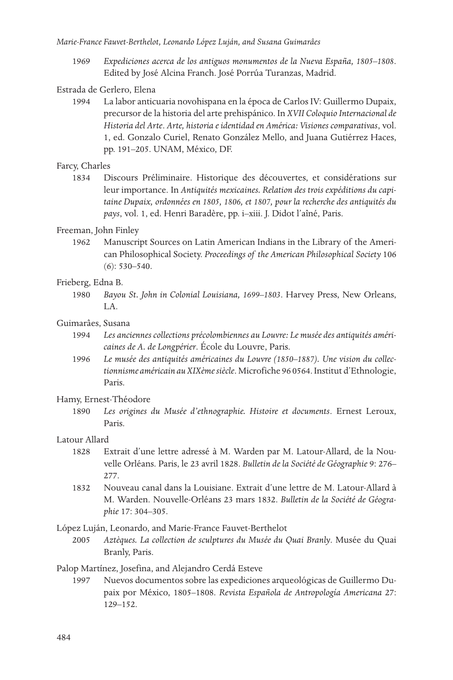1969 *Expediciones acerca de los antiguos monumentos de la Nueva España, 1805–1808*. Edited by José Alcina Franch. José Porrúa Turanzas, Madrid.

### Estrada de Gerlero, Elena

1994 La labor anticuaria novohispana en la época de Carlos IV: Guillermo Dupaix, precursor de la historia del arte prehispánico. In *XVII Coloquio Internacional de Historia del Arte*. *Arte, historia e identidad en América: Visiones comparativas*, vol. 1, ed. Gonzalo Curiel, Renato González Mello, and Juana Gutiérrez Haces, pp. 191–205. UNAM, México, DF.

#### Farcy, Charles

1834 Discours Préliminaire. Historique des découvertes, et considérations sur leur importance. In *Antiquités mexicaines. Relation des trois expéditions du capitaine Dupaix, ordonnées en 1805, 1806, et 1807, pour la recherche des antiquités du pays*, vol. 1, ed. Henri Baradère, pp. i–xiii. J. Didot l'aîné, Paris.

### Freeman, John Finley

1962 Manuscript Sources on Latin American Indians in the Library of the American Philosophical Society. *Proceedings of the American Philosophical Society* 106 (6): 530–540.

#### Frieberg, Edna B.

1980 *Bayou St. John in Colonial Louisiana, 1699–1803*. Harvey Press, New Orleans, LA.

### Guimarâes, Susana

- 1994 *Les anciennes collections précolombiennes au Louvre: Le musée des antiquités américaines de A. de Longpérier*. École du Louvre, Paris.
- 1996 *Le musée des antiquités américaines du Louvre (1850–1887). Une vision du collectionnisme américain au XIXème siècle*. Microfiche 96 0564. Institut d'Ethnologie, Paris.

#### Hamy, Ernest-Théodore

1890 *Les origines du Musée d'ethnographie. Histoire et documents*. Ernest Leroux, Paris.

# Latour Allard

- 1828 Extrait d'une lettre adressé à M. Warden par M. Latour-Allard, de la Nouvelle Orléans. Paris, le 23 avril 1828. *Bulletin de la Société de Géographie* 9: 276– 277.
- 1832 Nouveau canal dans la Louisiane. Extrait d'une lettre de M. Latour-Allard à M. Warden. Nouvelle-Orléans 23 mars 1832. *Bulletin de la Société de Géographie* 17: 304–305.

López Luján, Leonardo, and Marie-France Fauvet-Berthelot

2005 *Aztèques. La collection de sculptures du Musée du Quai Branly*. Musée du Quai Branly, Paris.

Palop Martínez, Josefina, and Alejandro Cerdá Esteve

1997 Nuevos documentos sobre las expediciones arqueológicas de Guillermo Dupaix por México, 1805–1808. *Revista Española de Antropología Americana* 27: 129–152.